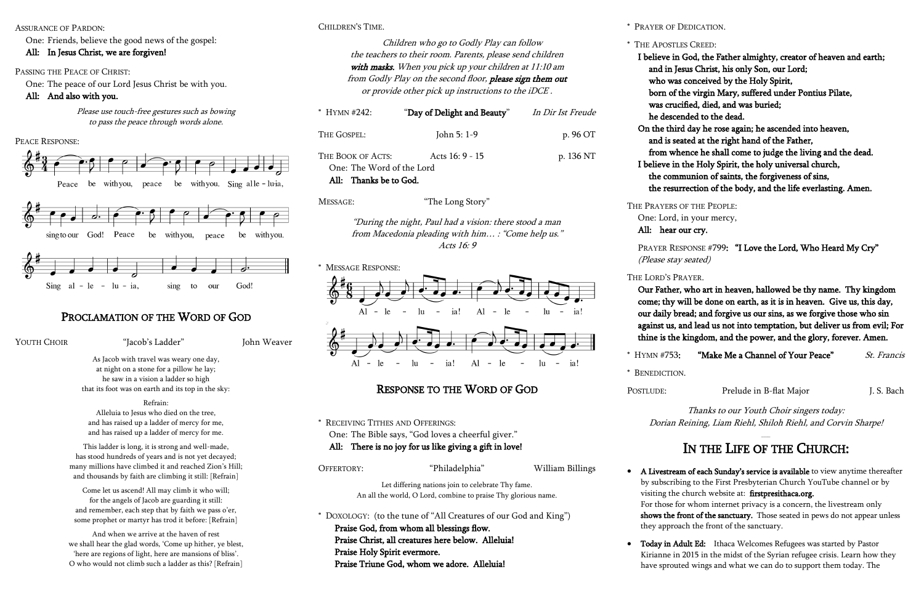CHILDREN'S TIME.

Children who go to Godly Play can follow the teachers to their room. Parents, please send children with masks. When you pick up your children at 11:10 am from Godly Play on the second floor, please sign them out or provide other pick up instructions to the iDCE .

| * HYMN # $242$                                                                               | "Day of Delight and Beauty" | In Dir Ist Freude |
|----------------------------------------------------------------------------------------------|-----------------------------|-------------------|
| THE GOSPEL:                                                                                  | John 5: 1-9                 | p. 96 OT          |
| Acts $16:9 - 15$<br>THE BOOK OF ACTS:<br>One: The Word of the Lord<br>All: Thanks be to God. |                             | p. 136 NT         |

MESSAGE: "The Long Story"

"During the night, Paul had a vision: there stood a man from Macedonia pleading with him… : "Come help us." Acts 16: 9



## RESPONSE TO THE WORD OF GOD

\* RECEIVING TITHES AND OFFERINGS: One: The Bible says, "God loves a cheerful giver." All: There is no joy for us like giving a gift in love!

### OFFERTORY: "Philadelphia" William Billings

Let differing nations join to celebrate Thy fame. An all the world, O Lord, combine to praise Thy glorious name.

\* DOXOLOGY: (to the tune of "All Creatures of our God and King") Praise God, from whom all blessings flow. Praise Christ, all creatures here below. Alleluia! Praise Holy Spirit evermore. Praise Triune God, whom we adore. Alleluia!

#### ASSURANCE OF PARDON:

One: Friends, believe the good news of the gospel:

### All: In Jesus Christ, we are forgiven!

### PASSING THE PEACE OF CHRIST:

One: The peace of our Lord Jesus Christ be with you.

### All: And also with you.

Please use touch-free gestures such as bowing to pass the peace through words alone.









## PROCLAMATION OF THE WORD OF GOD

YOUTH CHOIR "Jacob's Ladder" John Weaver

As Jacob with travel was weary one day, at night on a stone for a pillow he lay; he saw in a vision a ladder so high that its foot was on earth and its top in the sky:

#### Refrain:

Alleluia to Jesus who died on the tree, and has raised up a ladder of mercy for me, and has raised up a ladder of mercy for me.

This ladder is long, it is strong and well-made, has stood hundreds of years and is not yet decayed; many millions have climbed it and reached Zion's Hill; and thousands by faith are climbing it still: [Refrain]

Come let us ascend! All may climb it who will; for the angels of Jacob are guarding it still: and remember, each step that by faith we pass o'er, some prophet or martyr has trod it before: [Refrain]

> Today in Adult Ed: Ithaca Welcomes Refugees was started by Pastor Kirianne in 2015 in the midst of the Syrian refugee crisis. Learn how they have sprouted wings and what we can do to support them today. The

And when we arrive at the haven of rest we shall hear the glad words, 'Come up hither, ye blest, 'here are regions of light, here are mansions of bliss'. O who would not climb such a ladder as this? [Refrain]

\* PRAYER OF DEDICATION.

\* THE APOSTLES CREED: I believe in God, the Father almighty, creator of heaven and earth; and in Jesus Christ, his only Son, our Lord; who was conceived by the Holy Spirit, born of the virgin Mary, suffered under Pontius Pilate, was crucified, died, and was buried; he descended to the dead. On the third day he rose again; he ascended into heaven, and is seated at the right hand of the Father, from whence he shall come to judge the living and the dead. I believe in the Holy Spirit, the holy universal church, the communion of saints, the forgiveness of sins, the resurrection of the body, and the life everlasting. Amen.

THE PRAYERS OF THE PEOPLE: One: Lord, in your mercy, All: hear our cry.

(Please stay seated)

THE LORD'S PRAYER.

\* HYMN #753

 Our Father, who art in heaven, hallowed be thy name. Thy kingdom come; thy will be done on earth, as it is in heaven. Give us, this day, our daily bread; and forgive us our sins, as we forgive those who sin against us, and lead us not into temptation, but deliver us from evil; For thine is the kingdom, and the power, and the glory, forever. Amen.

| "Make Me a Channel of Your Peace" | <i>St. Francis</i> |
|-----------------------------------|--------------------|
|                                   |                    |

POSTLUDE: Prelude in B-flat Major J. S. Bach

\* BENEDICTION.

Thanks to our Youth Choir singers today: Dorian Reining, Liam Riehl, Shiloh Riehl, and Corvin Sharpe!

- 
- 

PRAYER RESPONSE #799: "I Love the Lord, Who Heard My Cry"

## IN THE LIFE OF THE CHURCH:

 A Livestream of each Sunday's service is available to view anytime thereafter by subscribing to the First Presbyterian Church YouTube channel or by visiting the church website at: firstpresithaca.org.

For those for whom internet privacy is a concern, the livestream only shows the front of the sanctuary. Those seated in pews do not appear unless they approach the front of the sanctuary.